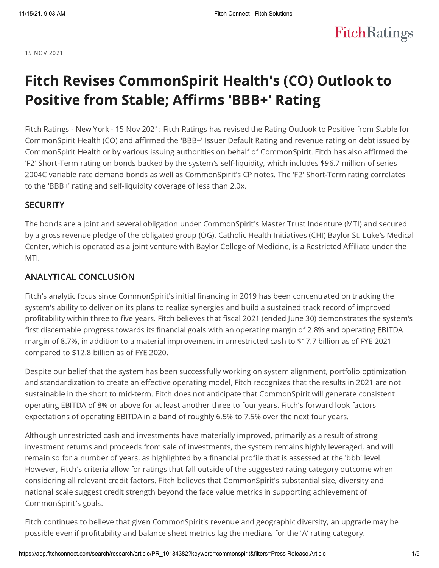**FitchRatings** 

15 NOV 2021

# Fitch Revises CommonSpirit Health's (CO) Outlook to Positive from Stable; Affirms 'BBB+' Rating

Fitch Ratings - New York - 15 Nov 2021: Fitch Ratings has revised the Rating Outlook to Positive from Stable for CommonSpirit Health (CO) and affirmed the 'BBB+' Issuer Default Rating and revenue rating on debt issued by CommonSpirit Health or by various issuing authorities on behalf of CommonSpirit. Fitch has also affirmed the 'F2' Short-Term rating on bonds backed by the system's self-liquidity, which includes \$96.7 million of series 2004C variable rate demand bonds as well as CommonSpirit's CP notes. The 'F2' Short-Term rating correlates to the 'BBB+' rating and self-liquidity coverage of less than 2.0x.

### **SECURITY**

The bonds are a joint and several obligation under CommonSpirit's Master Trust Indenture (MTI) and secured by a gross revenue pledge of the obligated group (OG). Catholic Health Initiatives (CHI) Baylor St. Luke's Medical Center, which is operated as a joint venture with Baylor College of Medicine, is a Restricted Affiliate under the MTI.

### ANALYTICAL CONCLUSION

Fitch's analytic focus since CommonSpirit's initial financing in 2019 has been concentrated on tracking the system's ability to deliver on its plans to realize synergies and build a sustained track record of improved profitability within three to five years. Fitch believes that fiscal 2021 (ended June 30) demonstrates the system's first discernable progress towards its financial goals with an operating margin of 2.8% and operating EBITDA margin of 8.7%, in addition to a material improvement in unrestricted cash to \$17.7 billion as of FYE 2021 compared to \$12.8 billion as of FYE 2020.

Despite our belief that the system has been successfully working on system alignment, portfolio optimization and standardization to create an effective operating model, Fitch recognizes that the results in 2021 are not sustainable in the short to mid-term. Fitch does not anticipate that CommonSpirit will generate consistent operating EBITDA of 8% or above for at least another three to four years. Fitch's forward look factors expectations of operating EBITDA in a band of roughly 6.5% to 7.5% over the next four years.

Although unrestricted cash and investments have materially improved, primarily as a result of strong investment returns and proceeds from sale of investments, the system remains highly leveraged, and will remain so for a number of years, as highlighted by a financial profile that is assessed at the 'bbb' level. However, Fitch's criteria allow for ratings that fall outside of the suggested rating category outcome when considering all relevant credit factors. Fitch believes that CommonSpirit's substantial size, diversity and national scale suggest credit strength beyond the face value metrics in supporting achievement of CommonSpirit's goals.

Fitch continues to believe that given CommonSpirit's revenue and geographic diversity, an upgrade may be possible even if profitability and balance sheet metrics lag the medians for the 'A' rating category.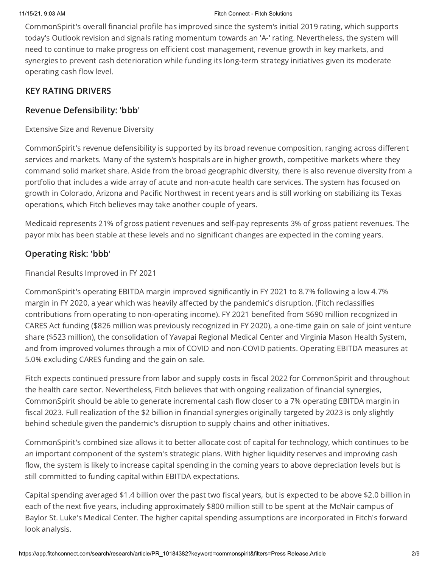CommonSpirit's overall financial profile has improved since the system's initial 2019 rating, which supports today's Outlook revision and signals rating momentum towards an 'A-' rating. Nevertheless, the system will need to continue to make progress on efficient cost management, revenue growth in key markets, and synergies to prevent cash deterioration while funding its long-term strategy initiatives given its moderate operating cash flow level.

## KEY RATING DRIVERS

### Revenue Defensibility: 'bbb'

Extensive Size and Revenue Diversity

CommonSpirit's revenue defensibility is supported by its broad revenue composition, ranging across different services and markets. Many of the system's hospitals are in higher growth, competitive markets where they command solid market share. Aside from the broad geographic diversity, there is also revenue diversity from a portfolio that includes a wide array of acute and non-acute health care services. The system has focused on growth in Colorado, Arizona and Pacific Northwest in recent years and is still working on stabilizing its Texas operations, which Fitch believes may take another couple of years.

Medicaid represents 21% of gross patient revenues and self-pay represents 3% of gross patient revenues. The payor mix has been stable at these levels and no significant changes are expected in the coming years.

### Operating Risk: 'bbb'

Financial Results Improved in FY 2021

CommonSpirit's operating EBITDA margin improved significantly in FY 2021 to 8.7% following a low 4.7% margin in FY 2020, a year which was heavily affected by the pandemic's disruption. (Fitch reclassifies contributions from operating to non-operating income). FY 2021 benefited from \$690 million recognized in CARES Act funding (\$826 million was previously recognized in FY 2020), a one-time gain on sale of joint venture share (\$523 million), the consolidation of Yavapai Regional Medical Center and Virginia Mason Health System, and from improved volumes through a mix of COVID and non-COVID patients. Operating EBITDA measures at 5.0% excluding CARES funding and the gain on sale.

Fitch expects continued pressure from labor and supply costs in fiscal 2022 for CommonSpirit and throughout the health care sector. Nevertheless, Fitch believes that with ongoing realization of financial synergies, CommonSpirit should be able to generate incremental cash flow closer to a 7% operating EBITDA margin in fiscal 2023. Full realization of the \$2 billion in financial synergies originally targeted by 2023 is only slightly behind schedule given the pandemic's disruption to supply chains and other initiatives.

CommonSpirit's combined size allows it to better allocate cost of capital for technology, which continues to be an important component of the system's strategic plans. With higher liquidity reserves and improving cash flow, the system is likely to increase capital spending in the coming years to above depreciation levels but is still committed to funding capital within EBITDA expectations.

Capital spending averaged \$1.4 billion over the past two fiscal years, but is expected to be above \$2.0 billion in each of the next five years, including approximately \$800 million still to be spent at the McNair campus of Baylor St. Luke's Medical Center. The higher capital spending assumptions are incorporated in Fitch's forward look analysis.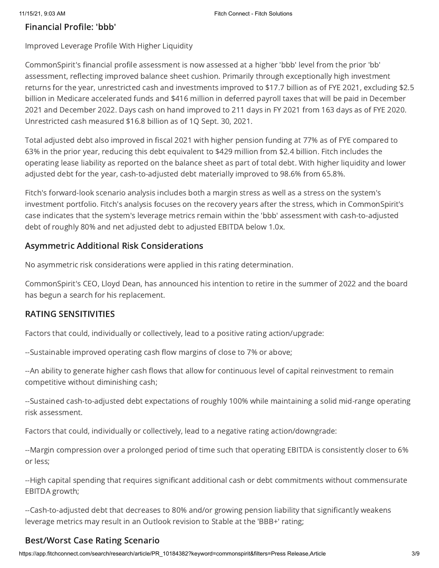### Financial Profile: 'bbb'

Improved Leverage Profile With Higher Liquidity

CommonSpirit's financial profile assessment is now assessed at a higher 'bbb' level from the prior 'bb' assessment, reflecting improved balance sheet cushion. Primarily through exceptionally high investment returns for the year, unrestricted cash and investments improved to \$17.7 billion as of FYE 2021, excluding \$2.5 billion in Medicare accelerated funds and \$416 million in deferred payroll taxes that will be paid in December 2021 and December 2022. Days cash on hand improved to 211 days in FY 2021 from 163 days as of FYE 2020. Unrestricted cash measured \$16.8 billion as of 1Q Sept. 30, 2021.

Total adjusted debt also improved in fiscal 2021 with higher pension funding at 77% as of FYE compared to 63% in the prior year, reducing this debt equivalent to \$429 million from \$2.4 billion. Fitch includes the operating lease liability as reported on the balance sheet as part of total debt. With higher liquidity and lower adjusted debt for the year, cash-to-adjusted debt materially improved to 98.6% from 65.8%.

Fitch's forward-look scenario analysis includes both a margin stress as well as a stress on the system's investment portfolio. Fitch's analysis focuses on the recovery years after the stress, which in CommonSpirit's case indicates that the system's leverage metrics remain within the 'bbb' assessment with cash-to-adjusted debt of roughly 80% and net adjusted debt to adjusted EBITDA below 1.0x.

### Asymmetric Additional Risk Considerations

No asymmetric risk considerations were applied in this rating determination.

CommonSpirit's CEO, Lloyd Dean, has announced his intention to retire in the summer of 2022 and the board has begun a search for his replacement.

### RATING SENSITIVITIES

Factors that could, individually or collectively, lead to a positive rating action/upgrade:

--Sustainable improved operating cash flow margins of close to 7% or above;

--An ability to generate higher cash flows that allow for continuous level of capital reinvestment to remain competitive without diminishing cash;

--Sustained cash-to-adjusted debt expectations of roughly 100% while maintaining a solid mid-range operating risk assessment.

Factors that could, individually or collectively, lead to a negative rating action/downgrade:

--Margin compression over a prolonged period of time such that operating EBITDA is consistently closer to 6% or less;

--High capital spending that requires significant additional cash or debt commitments without commensurate EBITDA growth;

--Cash-to-adjusted debt that decreases to 80% and/or growing pension liability that significantly weakens leverage metrics may result in an Outlook revision to Stable at the 'BBB+' rating;

### Best/Worst Case Rating Scenario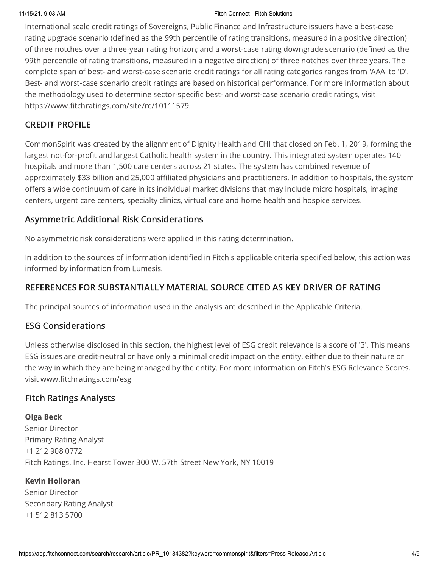### 11/15/21, 9:03 AM Fitch Connect - Fitch Solutions

International scale credit ratings of Sovereigns, Public Finance and Infrastructure issuers have a best-case rating upgrade scenario (defined as the 99th percentile of rating transitions, measured in a positive direction) of three notches over a three-year rating horizon; and a worst-case rating downgrade scenario (defined as the 99th percentile of rating transitions, measured in a negative direction) of three notches over three years. The complete span of best- and worst-case scenario credit ratings for all rating categories ranges from 'AAA' to 'D'. Best- and worst-case scenario credit ratings are based on historical performance. For more information about the methodology used to determine sector-specific best- and worst-case scenario credit ratings, visit https://www.fitchratings.com/site/re/10111579.

### CREDIT PROFILE

CommonSpirit was created by the alignment of Dignity Health and CHI that closed on Feb. 1, 2019, forming the largest not-for-profit and largest Catholic health system in the country. This integrated system operates 140 hospitals and more than 1,500 care centers across 21 states. The system has combined revenue of approximately \$33 billion and 25,000 affiliated physicians and practitioners. In addition to hospitals, the system offers a wide continuum of care in its individual market divisions that may include micro hospitals, imaging centers, urgent care centers, specialty clinics, virtual care and home health and hospice services.

### Asymmetric Additional Risk Considerations

No asymmetric risk considerations were applied in this rating determination.

In addition to the sources of information identified in Fitch's applicable criteria specified below, this action was informed by information from Lumesis.

### REFERENCES FOR SUBSTANTIALLY MATERIAL SOURCE CITED AS KEY DRIVER OF RATING

The principal sources of information used in the analysis are described in the Applicable Criteria.

### ESG Considerations

Unless otherwise disclosed in this section, the highest level of ESG credit relevance is a score of '3'. This means ESG issues are credit-neutral or have only a minimal credit impact on the entity, either due to their nature or the way in which they are being managed by the entity. For more information on Fitch's ESG Relevance Scores, visit www.fitchratings.com/esg

### Fitch Ratings Analysts

Olga Beck Senior Director Primary Rating Analyst +1 212 908 0772 Fitch Ratings, Inc. Hearst Tower 300 W. 57th Street New York, NY 10019

### Kevin Holloran

Senior Director Secondary Rating Analyst +1 512 813 5700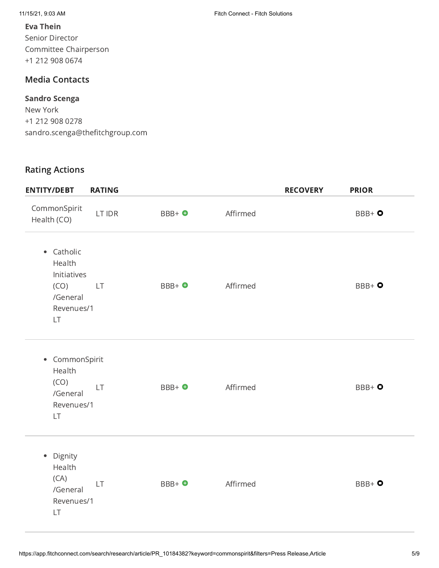11/15/21, 9:03 AM Fitch Connect - Fitch Solutions

### Eva Thein

Senior Director Committee Chairperson +1 212 908 0674

# Media Contacts

### Sandro Scenga

New York +1 212 908 0278 sandro.scenga@thefitchgroup.com

### Rating Actions

| <b>ENTITY/DEBT</b>                                                          | <b>RATING</b> |                   |          | <b>RECOVERY</b> | <b>PRIOR</b> |
|-----------------------------------------------------------------------------|---------------|-------------------|----------|-----------------|--------------|
| CommonSpirit<br>Health (CO)                                                 | LT IDR        | BBB+ O            | Affirmed |                 | $BBB+o$      |
| • Catholic<br>Health<br>Initiatives<br>(CO)<br>/General<br>Revenues/1<br>LT | <b>LT</b>     | BBB+ <sup>O</sup> | Affirmed |                 | $BBB + 0$    |
| • CommonSpirit<br>Health<br>(CO)<br>/General<br>Revenues/1<br>LT            | LT            | BBB+ O            | Affirmed |                 | $BBB+o$      |
| Dignity<br>$\bullet$<br>Health<br>(CA)<br>/General<br>Revenues/1<br>LT      | <b>LT</b>     | BBB+ O            | Affirmed |                 | $BBB+o$      |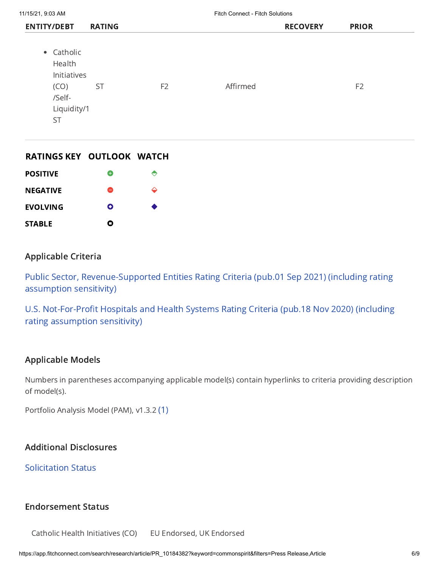| • Catholic<br>Health<br>Initiatives<br>Affirmed<br><b>ST</b><br>(CO)<br>F <sub>2</sub><br>/Self-<br>Liquidity/1<br><b>ST</b> | F <sub>2</sub> |  |
|------------------------------------------------------------------------------------------------------------------------------|----------------|--|

### RATINGS KEY OUTLOOK WATCH

| <b>POSITIVE</b> | Ŧ |   |
|-----------------|---|---|
| <b>NEGATIVE</b> | 8 | ≏ |
| <b>EVOLVING</b> | Ο | o |
| <b>STABLE</b>   | Ο |   |

### Applicable Criteria

Public Sector, [Revenue-Supported](https://app.fitchconnect.com/search/research/article/RPT_10175401) Entities Rating Criteria (pub.01 Sep 2021) (including rating assumption sensitivity)

U.S. [Not-For-Profit](https://app.fitchconnect.com/search/research/article/RPT_10142764) Hospitals and Health Systems Rating Criteria (pub.18 Nov 2020) (including rating assumption sensitivity)

### Applicable Models

Numbers in parentheses accompanying applicable model(s) contain hyperlinks to criteria providing description of model(s).

Portfolio Analysis Model (PAM), v1.3.2 [\(1\)](https://app.fitchconnect.com/search/research/article/RPT_1001560)

### Additional Disclosures

[Solicitation](https://www.fitchratings.com/research/us-public-finance/fitch-revises-commonspirit-health-co-outlook-to-positive-from-stable-affirms-bbb-rating-15-11-2021#solicitation-status) Status

### Endorsement Status

Catholic Health Initiatives (CO) EU Endorsed, UK Endorsed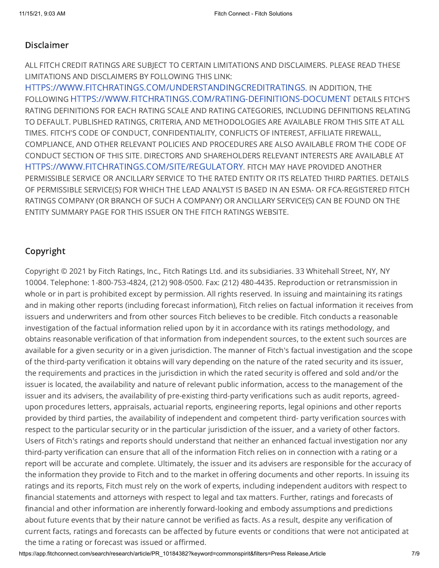### Disclaimer

ALL FITCH CREDIT RATINGS ARE SUBJECT TO CERTAIN LIMITATIONS AND DISCLAIMERS. PLEASE READ THESE LIMITATIONS AND DISCLAIMERS BY FOLLOWING THIS LINK:

[HTTPS://WWW.FITCHRATINGS.COM/UNDERSTANDINGCREDITRATINGS](https://www.fitchratings.com/UNDERSTANDINGCREDITRATINGS). IN ADDITION, THE FOLLOWING [HTTPS://WWW.FITCHRATINGS.COM/RATING-DEFINITIONS-DOCUMENT](https://www.fitchratings.com/rating-definitions-document) DETAILS FITCH'S RATING DEFINITIONS FOR EACH RATING SCALE AND RATING CATEGORIES, INCLUDING DEFINITIONS RELATING TO DEFAULT. PUBLISHED RATINGS, CRITERIA, AND METHODOLOGIES ARE AVAILABLE FROM THIS SITE AT ALL TIMES. FITCH'S CODE OF CONDUCT, CONFIDENTIALITY, CONFLICTS OF INTEREST, AFFILIATE FIREWALL, COMPLIANCE, AND OTHER RELEVANT POLICIES AND PROCEDURES ARE ALSO AVAILABLE FROM THE CODE OF CONDUCT SECTION OF THIS SITE. DIRECTORS AND SHAREHOLDERS RELEVANT INTERESTS ARE AVAILABLE AT [HTTPS://WWW.FITCHRATINGS.COM/SITE/REGULATORY](https://www.fitchratings.com/site/regulatory). FITCH MAY HAVE PROVIDED ANOTHER PERMISSIBLE SERVICE OR ANCILLARY SERVICE TO THE RATED ENTITY OR ITS RELATED THIRD PARTIES. DETAILS OF PERMISSIBLE SERVICE(S) FOR WHICH THE LEAD ANALYST IS BASED IN AN ESMA- OR FCA-REGISTERED FITCH RATINGS COMPANY (OR BRANCH OF SUCH A COMPANY) OR ANCILLARY SERVICE(S) CAN BE FOUND ON THE ENTITY SUMMARY PAGE FOR THIS ISSUER ON THE FITCH RATINGS WEBSITE.

### Copyright

Copyright © 2021 by Fitch Ratings, Inc., Fitch Ratings Ltd. and its subsidiaries. 33 Whitehall Street, NY, NY 10004. Telephone: 1-800-753-4824, (212) 908-0500. Fax: (212) 480-4435. Reproduction or retransmission in whole or in part is prohibited except by permission. All rights reserved. In issuing and maintaining its ratings and in making other reports (including forecast information), Fitch relies on factual information it receives from issuers and underwriters and from other sources Fitch believes to be credible. Fitch conducts a reasonable investigation of the factual information relied upon by it in accordance with its ratings methodology, and obtains reasonable verification of that information from independent sources, to the extent such sources are available for a given security or in a given jurisdiction. The manner of Fitch's factual investigation and the scope of the third-party verification it obtains will vary depending on the nature of the rated security and its issuer, the requirements and practices in the jurisdiction in which the rated security is offered and sold and/or the issuer is located, the availability and nature of relevant public information, access to the management of the issuer and its advisers, the availability of pre-existing third-party verifications such as audit reports, agreedupon procedures letters, appraisals, actuarial reports, engineering reports, legal opinions and other reports provided by third parties, the availability of independent and competent third- party verification sources with respect to the particular security or in the particular jurisdiction of the issuer, and a variety of other factors. Users of Fitch's ratings and reports should understand that neither an enhanced factual investigation nor any third-party verification can ensure that all of the information Fitch relies on in connection with a rating or a report will be accurate and complete. Ultimately, the issuer and its advisers are responsible for the accuracy of the information they provide to Fitch and to the market in offering documents and other reports. In issuing its ratings and its reports, Fitch must rely on the work of experts, including independent auditors with respect to financial statements and attorneys with respect to legal and tax matters. Further, ratings and forecasts of financial and other information are inherently forward-looking and embody assumptions and predictions about future events that by their nature cannot be verified as facts. As a result, despite any verification of current facts, ratings and forecasts can be affected by future events or conditions that were not anticipated at the time a rating or forecast was issued or affirmed.

https://app.fitchconnect.com/search/research/article/PR\_10184382?keyword=commonspirit&filters=Press Release,Article 7/9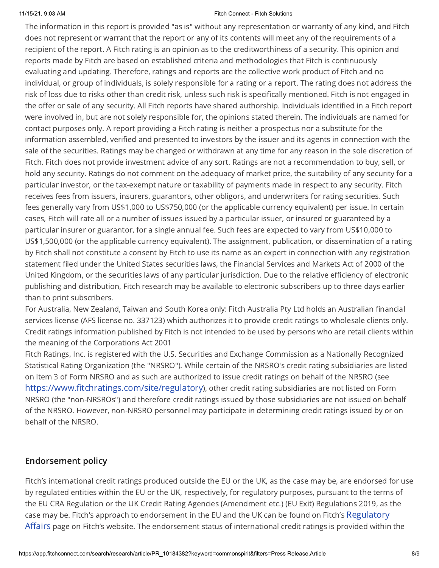### 11/15/21, 9:03 AM Fitch Connect - Fitch Solutions

The information in this report is provided "as is" without any representation or warranty of any kind, and Fitch does not represent or warrant that the report or any of its contents will meet any of the requirements of a recipient of the report. A Fitch rating is an opinion as to the creditworthiness of a security. This opinion and reports made by Fitch are based on established criteria and methodologies that Fitch is continuously evaluating and updating. Therefore, ratings and reports are the collective work product of Fitch and no individual, or group of individuals, is solely responsible for a rating or a report. The rating does not address the risk of loss due to risks other than credit risk, unless such risk is specifically mentioned. Fitch is not engaged in the offer or sale of any security. All Fitch reports have shared authorship. Individuals identified in a Fitch report were involved in, but are not solely responsible for, the opinions stated therein. The individuals are named for contact purposes only. A report providing a Fitch rating is neither a prospectus nor a substitute for the information assembled, verified and presented to investors by the issuer and its agents in connection with the sale of the securities. Ratings may be changed or withdrawn at any time for any reason in the sole discretion of Fitch. Fitch does not provide investment advice of any sort. Ratings are not a recommendation to buy, sell, or hold any security. Ratings do not comment on the adequacy of market price, the suitability of any security for a particular investor, or the tax-exempt nature or taxability of payments made in respect to any security. Fitch receives fees from issuers, insurers, guarantors, other obligors, and underwriters for rating securities. Such fees generally vary from US\$1,000 to US\$750,000 (or the applicable currency equivalent) per issue. In certain cases, Fitch will rate all or a number of issues issued by a particular issuer, or insured or guaranteed by a particular insurer or guarantor, for a single annual fee. Such fees are expected to vary from US\$10,000 to US\$1,500,000 (or the applicable currency equivalent). The assignment, publication, or dissemination of a rating by Fitch shall not constitute a consent by Fitch to use its name as an expert in connection with any registration statement filed under the United States securities laws, the Financial Services and Markets Act of 2000 of the United Kingdom, or the securities laws of any particular jurisdiction. Due to the relative efficiency of electronic publishing and distribution, Fitch research may be available to electronic subscribers up to three days earlier than to print subscribers.

For Australia, New Zealand, Taiwan and South Korea only: Fitch Australia Pty Ltd holds an Australian financial services license (AFS license no. 337123) which authorizes it to provide credit ratings to wholesale clients only. Credit ratings information published by Fitch is not intended to be used by persons who are retail clients within the meaning of the Corporations Act 2001

Fitch Ratings, Inc. is registered with the U.S. Securities and Exchange Commission as a Nationally Recognized Statistical Rating Organization (the "NRSRO"). While certain of the NRSRO's credit rating subsidiaries are listed on Item 3 of Form NRSRO and as such are authorized to issue credit ratings on behalf of the NRSRO (see <https://www.fitchratings.com/site/regulatory>), other credit rating subsidiaries are not listed on Form NRSRO (the "non-NRSROs") and therefore credit ratings issued by those subsidiaries are not issued on behalf of the NRSRO. However, non-NRSRO personnel may participate in determining credit ratings issued by or on behalf of the NRSRO.

### Endorsement policy

Fitch's international credit ratings produced outside the EU or the UK, as the case may be, are endorsed for use by regulated entities within the EU or the UK, respectively, for regulatory purposes, pursuant to the terms of the EU CRA Regulation or the UK Credit Rating Agencies (Amendment etc.) (EU Exit) Regulations 2019, as the case may be. Fitch's approach to endorsement in the EU and the UK can be found on Fitch's [Regulatory](https://www.fitchratings.com/regulatory) Affairs page on Fitch's website. The endorsement status of international credit ratings is provided within the